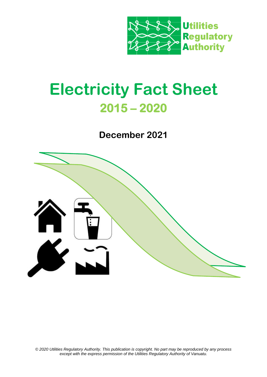

# **Electricity Fact Sheet 2015 – 2020**

**December 2021**



*© 2020 Utilities Regulatory Authority. This publication is copyright. No part may be reproduced by any process except with the express permission of the Utilities Regulatory Authority of Vanuatu.*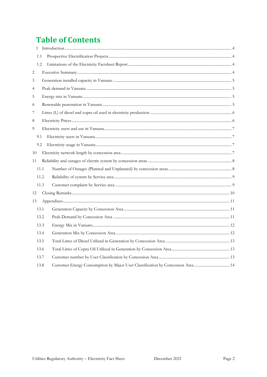## **Table of Contents**

|    | $\mathbf{1}$ |                                                                                 |  |
|----|--------------|---------------------------------------------------------------------------------|--|
|    | 1.1          |                                                                                 |  |
|    | 1.2          |                                                                                 |  |
| 2  |              |                                                                                 |  |
| 3  |              |                                                                                 |  |
| 4  |              |                                                                                 |  |
| 5  |              |                                                                                 |  |
| 6  |              |                                                                                 |  |
| 7  |              |                                                                                 |  |
| 8  |              |                                                                                 |  |
| 9  |              |                                                                                 |  |
|    | 9.1          |                                                                                 |  |
|    | 9.2          |                                                                                 |  |
| 10 |              |                                                                                 |  |
| 11 |              |                                                                                 |  |
|    | 11.1         |                                                                                 |  |
|    |              | 11.2                                                                            |  |
|    |              | 11.3                                                                            |  |
| 12 |              |                                                                                 |  |
| 13 |              |                                                                                 |  |
|    | 13.1         |                                                                                 |  |
|    |              | 13.2                                                                            |  |
|    |              | 13.3                                                                            |  |
|    |              | 13.4                                                                            |  |
|    | 13.5         |                                                                                 |  |
|    | 13.6         |                                                                                 |  |
|    |              | 13.7                                                                            |  |
|    | 13.8         | Customer Energy Consumption by Major User Classification by Concession Area  14 |  |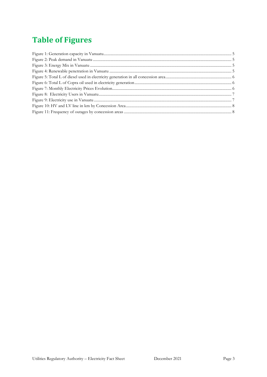## **Table of Figures**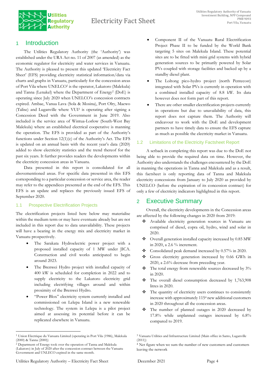

## <span id="page-3-0"></span>1 Introduction

The Utilities Regulatory Authority (the 'Authority') was established under the URA Act no. 11 of 2007 (as amended) as the economic regulator for electricity and water services in Vanuatu. The Authority is pleased to present this updated 'Electricity Fact Sheet' (EFS) providing electricity statistical information/data via charts and graphs in Vanuatu, particularly for the concession areas of Port Vila where UNELCO<sup>1</sup> is the operator, Lakatoro (Malekula) and Tanna (Lenakel) where the Department of Energy<sup>2</sup> (DoE) is operating since July 2020 when UNELCO's concession contracts expired. Ambae, Vanua Lava (Sola & Mosina), Port Olry, Maewo (Talise) and Luganville where VUI<sup>3</sup> is operating after signing a Concession Deed with the Government in June 2019. Also included is the service area of Wintua-Lorlow (South-West Bay Malekula) where an established electrical cooperative is manning the operation. The EFS is provided as part of the Authority's functions under Section 12(1)(c) of the Authority's Act. The EFS is updated on an annual basis with the recent year's data (2020) added to show electricity statistics and the trend thereof for the past six years. It further provides readers the developments within the electricity concession areas in Vanuatu.

Data presented in this report is consolidated for all abovementioned areas. For specific data presented in this EFS corresponding to a particular concession or service area, the reader may refer to the appendices presented at the end of the EFS. This EFS is an update and replaces the previously issued EFS of September 2020.

#### <span id="page-3-1"></span>1.1 Prospective Electrification Projects

The electrification projects listed here below may materialise within the medium term or may have eventuate already but are not included in this report due to data unavailability. These projects will have a bearing in the energy mix and electricity market in Vanuatu prospectively.

- The Sarakata Hydroelectric power project with a proposed installed capacity of 1 MW under JICA. Construction and civil works anticipated to begin around 2023.
- The Brenwei Hydro project with installed capacity of 400 kW is scheduled for completion in 2022 and to supply electricity to the Lakatoro electricity grid including electrifying villages around and within proximity of the Brenwei Hydro.
- "Power Blox" electricity system currently installed and commissioned on Lelepa Island is a new renewable technology. The system in Lelepa is a pilot project aimed at assessing its potential before it can be replicated elsewhere in Vanuatu.
- Component II of the Vanuatu Rural Electrification Project Phase II to be funded by the World Bank targeting 5 sites on Malekula Island. These potential sites are to be fitted with mini grid systems with hybrid generation sources to be primarily powered by Solar PVs coupled with storage facilities and backed up by a standby diesel plant.
- The Loltong pico-hydro project (north Pentecost) integrated with Solar PVs is currently in operation with a combined installed capacity of 8.8 kW. Its data however does not form part of this report.
- There are other smaller electrification projects currently in operations but due to unavailability of data, this report does not capture them. The Authority will endeavour to work with the DoE and development partners to have timely data to ensure the EFS capture as much as possible the electricity market in Vanuatu.

#### <span id="page-3-2"></span>1.2 Limitations of the Electricity Factsheet Report

A setback in completing this report was due to the DoE not being able to provide the required data on time. However, the Authority also understands the challenges encountered by the DoE in manning the operations in Tanna and Malekula and as a result, this factsheet is only reporting data of Tanna and Malekula electricity concessions from January to July 2020 as provided by UNELCO (before the expiration of its concession contract) for only a few of electricity indicators highlighted in this report.

## <span id="page-3-3"></span>2 Executive Summary

Overall, the electricity developments in the Concession areas are affected by the following changes in 2020 from 2019:

- ❖ Available electricity generation sources in Vanuatu are comprised of diesel, copra oil, hydro, wind and solar in 2020.
- ❖ Overall generation installed capacity increased by 0.85 MW in 2020, a 2.6 % increment.
- ❖ Consolidated peak demand increased by 0.57% in 2020.
- ❖ Gross electricity generation increased by 0.66 GWh in 2020, a 2.6% decrease from preceding year.
- ❖ The total energy from renewable sources decreased by 3% in 2020.
- ❖ The overall diesel consumption decreased by 1,763,908 litres in 2020.
- ❖ The quantity of electricity users continues to consistently increase with approximately 115<sup>4</sup> new additional customers in 2020 throughout all the concession areas.
- ❖ The number of planned outages in 2020 decreased by 17.8% while unplanned outages increased by 6.8% compared to 2019.

<sup>1</sup> Union Electrique du Vanuatu Limited (operating in Port Vila (1986), Malekula (2000) & Tanna (2000))

<sup>2</sup> Department of Energy took over the operation of Tanna and Malekula (Lakatoro) in July of 2020 after the concession contract between the Vanuatu Government and UNLECO expired in the same month.

<sup>3</sup> Vanuatu Utilities and Infrastructure Limited (Main office in Santo, Luganville  $(2011)$ 

<sup>4</sup> Net figure when we sum the number of new customers and customers leaving the network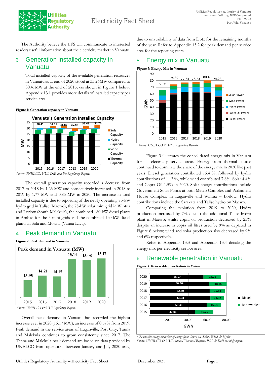

The Authority believe the EFS will communicate to interested readers useful information about the electricity market in Vanuatu.

## <span id="page-4-0"></span>3 Generation installed capacity in Vanuatu

Total installed capacity of the available generation resources in Vanuatu as at end of 2020 stood at 33.26MW compared to 30.41MW at the end of 2015, -as shown in Figure 1 below. Appendix 13.1 provides more details of installed capacity per service area.



<span id="page-4-4"></span>**Figure 1: Generation capacity in Vanuatu**

The overall generation capacity recorded a decrease from 2017 to 2018 by 1.23 MW and consecutively increased in 2018 to 2019 by 1.77 MW and 0.85 MW in 2020. The increase in total installed capacity is due to reporting of the newly operating 75-kW hydro grid in Talise (Maewo), the 75-kW solar mini grid in Wintua and Lorlow (South Malekula), the combined 180-kW diesel plants in Ambae for the 3 mini grids and the combined 120-kW diesel plants in Sola and Mosina (Vanua Lava).

## <span id="page-4-1"></span>4 Peak demand in Vanuatu

<span id="page-4-5"></span>

 Overall peak demand in Vanuatu has recorded the highest increase ever in 2020 (15.17 MW), an increase of 0.57% from 2019. Peak demand in the service areas of Luganville, Port Olry, Tanna and Malekula continues to grow consistently since 2017. The Tanna and Malekula peak-demand are based on data provided by UNELCO from operations between January and July 2020 only, due to unavailability of data from DoE for the remaining months of the year. Refer to Appendix 13.2 for peak demand per service area for the reporting years.

## <span id="page-4-2"></span>5 Energy mix in Vanuatu

<span id="page-4-6"></span>**Figure 3: Energy Mix in Vanuatu**





Figure 3 illustrates the consolidated energy mix in Vanuatu for all electricity service areas. Energy from thermal source continued to dominate the share of the energy mix in 2020 like past years. Diesel generation contributed 75.4 %, followed by hydro contributions of 11.2 %, while wind contributed 7.6%, Solar 4.4% and Copra Oil 1.5% in 2020. Solar energy contributions include Government Solar Farms at both Meteo Complex and Parliament House Complex, in Luganville and Wintua – Lorlow. Hydro contributions include the Sarakata and Talise hydro on Maewo.

Comparing the evolution from 2019 to 2020, Hydro production increased by 7% due to the additional Talise hydro plant in Maewo; whilst copra oil production decreased by 25% despite an increase in copra oil litres used by 9% as depicted in Figure 6 below; wind and solar production also decreased by  $9\%$ and 6% respectively.

Refer to Appendix 13.3 and Appendix 13.4 detailing the energy mix per electricity service area.

## <span id="page-4-3"></span>6 Renewable penetration in Vanuatu

<span id="page-4-7"></span>



*\* Renewable energy comprises of energy from Copra oil, Solar, Wind & Hydro Source: UNELCO & VUI Annual Technical Reports, PCS & DoE monthly reports*

*Source: UNELCO, VUI, DoE and Pcs Regulatory Reports*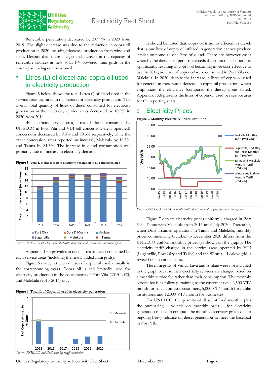

Renewable penetration decreased by 3.09 % in 2020 from 2019. The slight decrease was due to the reduction in copra oil production in 2020 including decrease production from wind and solar. Despite that, there is a general increase in the capacity of renewable sources as new solar PV powered mini grids in the country are being commissioned.

## <span id="page-5-0"></span>7 Litres (L) of diesel and copra oil used in electricity production

Figure 5 below shows the total Litres (l) of diesel used in the service areas captured in this report for electricity production. The overall total quantity of litres of diesel consumed for electricity generation in the electricity service areas decreased by 10.9% in 2020 from 2019.

By electricity service area, litres of diesel consumed by UNELCO in Port Vila and VUI (all concession areas operated) concessions decreased by 9.8% and 30.3% respectively, while the other concession areas reported an increase; Malekula by 19.3% and Tanna by 81.3%. The increase in diesel consumption was primarily due to increase in electricity demand.

<span id="page-5-2"></span>

*Source: UNELCO & DoE monthly tariff submission and Luganville concession reports* 

Appendix 13.5 provides in detail litres of diesel consumed by each service areas (including the newly added mini grids).

Figure 6 conveys the total litres of copra oil used annually in the corresponding years. Copra oil is still limitedly used for electricity production in the concessions of Port Vila (2015-2020) and Malekula (2015-2016) only.

<span id="page-5-3"></span>



It should be noted that, copra oil is not as efficient as diesel; that is one litre of copra oil utilized in generation cannot produce similar outcome as one litre of diesel. There are however cases whereby the diesel cost per litre exceeds the copra oil cost per litre significantly resulting in copra oil becoming more cost-effective to use. In 2017, no litres of copra oil were consumed in Port Vila nor Malekula. In 2020, despite the increase in litres of copra oil used for generation there was a decrease in copra oil production, which emphasizes the efficiency (compared the diesel) point stated. Appendix 13.6 presents the litres of copra oil used per service area for the reporting years.

## <span id="page-5-1"></span>8 Electricity Prices

<span id="page-5-4"></span>

*Source: UNELCO & DoE monthly tariff submission and Luganville concession reports*

Figure 7 depicts electricity prices uniformly charged in Port Vila, Tanna with Malekula from 2015 until July 2020. Thereafter, when DoE assumed operations in Tanna and Malekula, monthly prices commencing October to December 2020 differs from the UNELCO uniform monthly prices (as shown on the graph). The electricity tariff charged in the service areas operated by VUI (Luganville, Port Olry and Talise) and the Wintua – Lorlow grid is revised on an annual basis.

The mini grids of Vanua Lava and Ambae were not included in the graph because their electricity services are charged based on a monthly service fee rather than their consumption. The monthly service fee is as follow pertaining to the customer type: 2,500 VT/ month for small domestic customers, 5,000 VT/ month for public institutions and 12,000 VT/ month for businesses.

For UNELCO, the quantity of diesel utilized monthly plus the purchasing – volatile on monthly basis – for electricity generation is used to compute the monthly electricity prices due to ongoing heavy reliance on diesel generation to meet the baseload in Port Vila.

Utilities Regulatory Authority – Electricity Fact Sheet December 2021 Page 6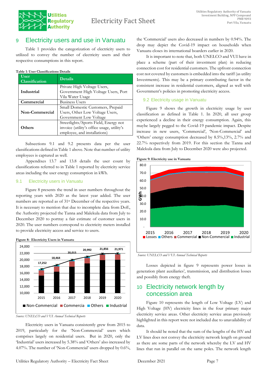

## <span id="page-6-0"></span>9 Electricity users and use in Vanuatu

Table 1 provides the categorization of electricity users to utilized to convey the number of electricity users and their respective consumptions in this report.

#### **Table 1: User Classifications Details**

| User<br><b>Classification</b> | <b>Details</b>                                                                                                      |  |  |  |  |
|-------------------------------|---------------------------------------------------------------------------------------------------------------------|--|--|--|--|
| Industrial                    | Private High Voltage Users,<br>Government High Voltage Users, Port<br>Vila Water Usage                              |  |  |  |  |
| Commercial                    | <b>Business Users</b>                                                                                               |  |  |  |  |
| Non-Commercial                | Small Domestic Customers, Prepaid<br>Users, Other Low Voltage Users,<br>Government Low Voltage                      |  |  |  |  |
| <b>Others</b>                 | Streetlights/Sports Field, Energy not<br>invoice (utility's office usage, utility's<br>employee, and installations) |  |  |  |  |

Subsections 9.1 and 9.2 presents data per the user classifications defined in Table 1 above. Note that number of utility employees is captured as well.

Appendixes 13.7 and 13.8 details the user count by classifications referred to in Table 1 reported by electricity service areas including the user energy consumption in kWh.

#### <span id="page-6-1"></span>9.1 Electricity users in Vanuatu

Figure 8 presents the trend in user numbers throughout the reporting years with 2020 as the latest year added. The user numbers are reported as of 31st December of the respective years. It is necessary to mention that due to incomplete data from DoE, the Authority projected the Tanna and Malekula data from July to December 2020 to portray a fair estimate of customer users in 2020. The user numbers correspond to electricity meters installed to provide electricity access and service to users.



<span id="page-6-4"></span>**Figure 8: Electricity Users in Vanuatu**

Electricity users in Vanuatu consistently grew from 2015 to 2019, particularly for the 'Non-Commercial' users which comprises largely on residential users. But in 2020, only the 'Industrial' users increased by 5.38% and 'Others' also increased by 4.07%. The number of 'Non-Commercial' users dropped by 0.6%,

the 'Commercial' users also decreased in numbers by 0.94%. The drop may depict the Covid-19 impact on households when Vanuatu closes its international boarders earlier in 2020.

It is important to note that, both UNELCO and VUI have in place a scheme (part of their investment plan) in reducing connection cost for residential customers. The upfront connection cost not covered by customers is embedded into the tariff (as utility Investments). This may be a primary contributing factor in the consistent increase in residential customers, aligned as well with Government's policies in promoting electricity access.

## <span id="page-6-2"></span>9.2 Electricity usage in Vanuatu

Figure 9 shows the growth in electricity usage by user classification as defined in Table 1. In 2020, all user group experienced a decline in their energy consumption. Again, this maybe largely pegged to the Covid-19 pandemic impact. Despite increase in new users, 'Commercial', 'Non-Commercial' and 'Others' energy consumption decreased by 8.5%,13%, 2.7% and 22.7% respectively from 2019. For this section the Tanna and Malekula data from July to December 2020 were also projected.

<span id="page-6-5"></span>



*Source: UNELCO and VUI Annual Technical Reports*

Losses depicted in figure 9 represents power losses in generation plant auxiliaries', transmission, and distribution losses and possibly from energy theft.

## <span id="page-6-3"></span>10 Electricity network length by concession area

Figure 10 represents the length of Low Voltage (LV) and High Voltage (HV) electricity lines in the four primary major electricity service areas. Other electricity service areas previously highlighted in this report were not included due to unavailability of data.

It should be noted that the sum of the lengths of the HV and LV lines does not convey the electricity network length on ground as there are some parts of the network whereby the LV and HV lines that run in parallel on the same poles. The network length

*Source: UNELCO and VUI Annual Technical Reports*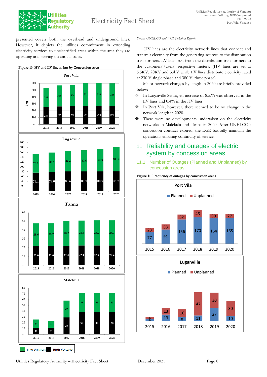

## Electricity Fact Sheet

presented covers both the overhead and underground lines. However, it depicts the utilities commitment in extending electricity services to unelectrified areas within the area they are operating and serving on annual basis.

<span id="page-7-2"></span>

#### *Source: UNELCO and VUI Technical Reports*

HV lines are the electricity network lines that connect and transmit electricity from the generating sources to the distribution transformers. LV lines run from the distribution transformers to the customers'/users' respective meters. (HV lines are set at 5.5KV, 20KV and 33kV while LV lines distribute electricity rated at 230 V single phase and 380 V, three phase).

Major network changes by length in 2020 are briefly provided below:

- ❖ In Luganville Santo, an increase of 8.5.% was observed in the LV lines and 0.4% in the HV lines.
- ❖ In Port Vila, however, there seemed to be no change in the network length in 2020.
- ❖ There were no developments undertaken on the electricity networks in Malekula and Tanna in 2020. After UNELCO's concession contract expired, the DoE basically maintain the operations ensuring continuity of service.

## <span id="page-7-0"></span>11 Reliability and outages of electric system by concession areas

<span id="page-7-1"></span>11.1 Number of Outages (Planned and Unplanned) by concession areas

<span id="page-7-3"></span>



**High Voltage** 

**Low Voltage**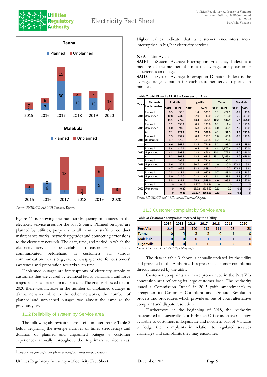## Electricity Fact Sheet





*Source: UNELCO and VUI Technical Reports* 2015 2016 2017 2018 2019 2020

2

 $2 \times 6$  9

0

4

3

6

 $\theta$ 

3

Figure 11 is showing the number/frequency of outages in the electricity service areas for the past 5 years. 'Planned outages' are planned by utilities, purposely to allow utility staffs to conduct maintenance works, network upgrades and connecting extensions to the electricity network. The date, time, and period in which the electricity service is unavailable to customers is usually communicated beforehand to customers via various communication means (e.g., radio, newspaper etc) for customers' awareness and preparation towards such time.

Unplanned outages are interruptions of electricity supply to customers that are caused by technical faults, vandalism, and force majeure acts to the electricity network. The graphs showed that in 2020 there was increase in the number of unplanned outages in Tanna network while in the other networks, the number of planned and unplanned outages was almost the same as the previous year.

#### <span id="page-8-0"></span>11.2 Reliability of system by Service area

The following abbreviations are useful in interpreting Table 2 below regarding the average number of times (frequency) and duration of planned and unplanned outages a customer experiences annually throughout the 4 primary service areas. Higher values indicate that a customer encounters more interruption in his/her electricity services.

#### **N/A** – Not Available

**SAIFI** – (System Average Interruption Frequency Index) is a measure of the number of times the average utility customer experiences an outage

**SAIDI** – (System Average Interruption Duration Index) is the average outage duration for each customer served reported in minutes.

**Table 2: SAIFI and SAIDI by Concession Area**

| Years | Planned/<br>Unplanned/All |              | <b>Port Vila</b> |              | Lugaville    |              |              | Malekula     |              |
|-------|---------------------------|--------------|------------------|--------------|--------------|--------------|--------------|--------------|--------------|
|       |                           | <b>SAIFI</b> | <b>SAIDI</b>     | <b>SAIFI</b> | <b>SAIDI</b> | <b>SAIFI</b> | <b>SAIDI</b> | <b>SAIFI</b> | <b>SAIDI</b> |
|       | Planned                   | 0.3          | 35.8             | 1.4          | 325.1        | 3.1          | 422.9        | 0.7          | 45.0         |
| 2014  | Unplanned                 | 10.8         | 241.5            | 12.0         | 40.0         | 7.2          | 115.0        | 6.0          | 309.0        |
|       | All                       | 11.1         | 277.3            | 13.4         | 365.1        | 10.2         | 537.9        | 6.7          | 354.0        |
|       | Planned                   | 1.2          | 130.1            | 0.5          | 135.6        | 0.1          | 4.4          | 1.0          | 170.0        |
| 2015  | Unplanned                 | 6.0          | 94.0             | 6.8          | 241.4        | 4.0          | 49.9         | 2.0          | 45.0         |
|       | All                       | 7.1          | 224.1            | 7.3          | 377.0        | 4.1          | 54.3         | 3.0          | 215.0        |
|       | Planned                   | 1.9          | 232.2            | 0.8          | 219.1        | 1.0          | 66.8         | 0.5          | 118.0        |
| 2016  | Unplanned                 | 4.7          | 129.5            | 12.1         | 495.8        | 4.2          | 28.4         |              |              |
|       | All                       | 6.6          | 361.7            | 12.8         | 714.9        | 5.2          | 95.2         | 0.5          | 118.0        |
|       | Planned                   | 3.4          | 414.1            | 0.5          | 218.1        | 4.8          | 1.870.6      | 2.0          | 180.0        |
| 2017  | Unplanned                 | 4.8          | 391.8            | 13.3         | 466.4        | 10.3         | 275.8        | 16.0         | 316.0        |
|       | All                       | 8.2          | 805.9            | 13.8         | 684.5        | 15.1         | 2.146.4      | 18.0         | 496.0        |
|       | Planned                   | 1.1          | 296.3            | 1.5          | 731.6        | 1.2          | 90.7         |              |              |
| 2018  | Unplanned                 | 3.6          | 150.3            | 30.7         | 637.5        | 1.0          | 20.0         | 173.1        | 5.8          |
|       | All                       | 4.7          | 446.6            | 32.2         | 1,369.1      | 2.2          | 110.7        | 173.1        | 5.8          |
|       | Planned                   | 2.3          | 411.1            | 3.6          | 1.087.9      | 0.7          | 48.0         | 0.8          | 76.5         |
| 2019  | Unplanned                 | 3.0          | 214.0            | 22.2         | 471.1        | 3.3          | 58.3         | 5.9          | 190.5        |
|       | All                       | 5.3          | 625.1            | 25.9         | 1,559.0      | 4.0          | 106.3        | 6.7          | 267.0        |
|       | Planned                   | $\Omega$     | 0.17             | 1.907        | 733.36       | $\Omega$     | $\Omega$     | $\Omega$     | $\Omega$     |
| 2020  | Unplanned                 | $\Omega$     | 0.29             | 18.92        | 3834.87      | 0.13         | 0.2          | 0.1          | $\Omega$     |
|       | All                       | $\mathbf{0}$ | 0.46             | 20.827       | 4568.23      | 0.13         | 0.2          | 0.1          | $\mathbf 0$  |

*Source: UNELCO and VUI Annual Technical Reports*

#### <span id="page-8-1"></span>11.3 Customer complaint by Service area

|                   | 2014 | 2015 | 2016 | 2017 | 2018 | 2019 | 2020 |
|-------------------|------|------|------|------|------|------|------|
| <b>Port Vila</b>  | 214  | 183  | 190  | 215  | 111  | 63   |      |
| <b>Tanna</b>      | U    |      |      |      |      |      |      |
| <b>Malekula</b>   | U    | υ    | υ    |      |      |      |      |
| <b>Luganville</b> | U    |      |      |      |      |      |      |

*Source: UNELCO and VUI Regulatory Reports*

The data in table 3 above is annually updated by the utility and provided to the Authority. It represents customer complaints directly received by the utility.

Customer complaints are more pronounced in the Port Vila concession area reflecting its large customer base. The Authority issued a Commission Order<sup>5</sup> in 2015 (with amendments) to strengthen its Customer Complaint and Dispute Resolution process and procedures which provide an out of court alternative complaint and dispute resolution.

Furthermore, in the beginning of 2018, the Authority inaugurated its Luganville North Branch Office as an avenue now available to customers in Luganville and northern part of Vanuatu to lodge their complaints in relation to regulated services challenges and complaints they may encounter.

<sup>5</sup> http://ura.gov.vu/index.php/services/commission-publications

Utilities Regulatory Authority – Electricity Fact Sheet December 2021 Page 9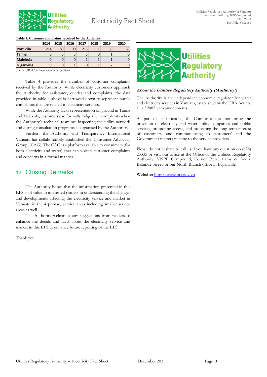

## Electricity Fact Sheet

|  | Table 4: Customer complaints received by the Authority |  |
|--|--------------------------------------------------------|--|
|  |                                                        |  |

|                  | 2014 | 2015 | 2016 | 2017 | 2018 | 2019 | 2020 |
|------------------|------|------|------|------|------|------|------|
| <b>Port Vila</b> | 214  | 183  | 190  | 215  | 111  | 63   | 53   |
| <b>Tanna</b>     |      |      |      | 5    |      |      |      |
| <b>Malekula</b>  |      |      |      |      |      |      |      |
| Luganville       |      |      |      |      |      |      |      |

*Source: URA Customer Complaint database*

Table 4 provides the number of customer complaints received by the Authority. While electricity customers approach the Authority for assistance, queries and complaints, the data provided in table 4 above is narrowed down to represent purely complaints that are related to electricity services.

While the Authority lacks representation on ground in Tanna and Malekula, customers can formally lodge their complaints when the Authority's technical team are inspecting the utility network and during consultation programs as organised by the Authority.

Further, the Authority and Transparency International Vanuatu has collaboratively established the 'Consumer Advocacy Group' (CAG). The CAG is a platform available to consumers (for both electricity and water) that can voiced customer complaints and concerns in a formal manner.

## <span id="page-9-0"></span>12 Closing Remarks

The Authority hopes that the information presented in this EFS is of value to interested readers in understanding the changes and developments affecting the electricity service and market in Vanuatu in the 4 primary service areas including smaller service areas as well.

The Authority welcomes any suggestions from readers to enhance the details and facts about the electricity service and market in this EFS to enhance future reporting of the EFS.

Thank you!



#### **About the Utilities Regulatory Authority ('Authority')**

The Authority is the independent economic regulator for water and electricity services in Vanuatu, established by the URA Act no. 11 of 2007 with amendments.

As part of its functions, the Commission is monitoring the provision of electricity and water utility companies and public services, promoting access, and protecting the long-term interest of customers, and communicating to customers' and the Government matters relating to the service providers.

Please do not hesitate to call us if you have any question on (678) 23335 or visit our office at the Office of the Utilities Regulatory Authority, VNPF Compound, Corner Pierre Lamy & Andre Ballande Street, or our North Branch office in Luganville.

**Website:** [http://www.ura.gov.vu](http://www.ura.gov.vu/)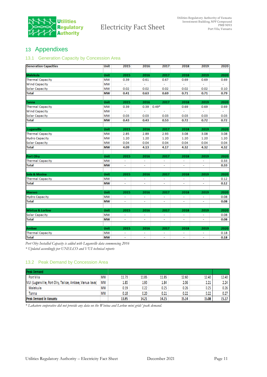

## <span id="page-10-0"></span>13 Appendixes

#### <span id="page-10-1"></span>13.1 Generation Capacity by Concession Area

| <b>Generation Capacities</b> | Unit      | 2015                     | 2016 | 2017                     | 2018           | 2019                     | 2020 |
|------------------------------|-----------|--------------------------|------|--------------------------|----------------|--------------------------|------|
|                              |           |                          |      |                          |                |                          |      |
| Malekula                     | Unit      | 2015                     | 2016 | 2017                     | 2018           | 2019                     | 2020 |
| <b>Thermal Capacity</b>      | MW        | 0.39                     | 0.61 | 0.67                     | 0.69           | 0.69                     | 0.69 |
| <b>Wind Capacity</b>         | MW        | ÷,                       | ä,   | $\mathbb{Z}^2$           |                | ä,                       |      |
| <b>Solar Capacity</b>        | MW        | 0.02                     | 0.02 | 0.02                     | 0.02           | 0.02                     | 0.10 |
| <b>Total</b>                 | MW        | 0.41                     | 0.63 | 0.69                     | 0.71           | 0.71                     | 0.79 |
|                              |           |                          |      |                          |                |                          |      |
| Tanna                        | Unit      | 2015                     | 2016 | 2017                     | 2018           | 2019                     | 2020 |
| <b>Thermal Capacity</b>      | МW        | 0.39                     | 0.39 | $0.49*$                  | 0.69           | 0.69                     | 0.69 |
| <b>Wind Capacity</b>         | МW        | ä,                       | ä,   | $\overline{\phantom{a}}$ |                | ä,                       | ÷,   |
| <b>Solar Capacity</b>        | МW        | 0.03                     | 0.03 | 0.03                     | 0.03           | 0.03                     | 0.03 |
| <b>Total</b>                 | <b>MW</b> | 0.43                     | 0.43 | 0.53                     | 0.72           | 0.72                     | 0.72 |
|                              |           |                          |      |                          |                |                          |      |
| Luganville                   | Unit      | 2015                     | 2016 | 2017                     | 2018           | 2019                     | 2020 |
| <b>Thermal Capacity</b>      | MW        | 2.85                     | 2.89 | 2.93                     | 3.08           | 3.08                     | 3.08 |
| <b>Hydro Capacity</b>        | мw        | 1.20                     | 1.20 | 1.20                     | 1.20           | 1.20                     | 1.20 |
| <b>Solar Capacity</b>        | МW        | 0.04                     | 0.04 | 0.04                     | 0.04           | 0.04                     | 0.04 |
| <b>Total</b>                 | MW        | 4.09                     | 4.13 | 4.17                     | 4.32           | 4.32                     | 4.32 |
|                              |           |                          |      |                          |                |                          |      |
| Port Olry                    | Unit      | 2015                     | 2016 | 2017                     | 2018           | 2019                     | 2020 |
| <b>Thermal Capacity</b>      | <b>MW</b> | $\blacksquare$           | ÷    | $\overline{\phantom{a}}$ | ÷              | ÷                        | 0.33 |
| <b>Total</b>                 | MW        | ۰                        | ۰    | ٠                        | ۰              | ٠                        | 0.33 |
|                              |           |                          |      |                          |                |                          |      |
| Sola & Mosina                | Unit      | 2015                     | 2016 | 2017                     | 2018           | 2019                     | 2020 |
| <b>Thermal Capacity</b>      | MW        | $\blacksquare$           | ä,   | $\tilde{\phantom{a}}$    | $\blacksquare$ | Ξ                        | 0.12 |
| <b>Total</b>                 | <b>MW</b> | ÷,                       | ä,   | ÷,                       | ä,             | ä,                       | 0.12 |
|                              |           |                          |      |                          |                |                          |      |
| <b>Maewo</b>                 | Unit      | 2015                     | 2016 | 2017                     | 2018           | 2019                     | 2020 |
| <b>Hydro Capacity</b>        | MW        | ä,                       | L,   | ä,                       | ÷.             | ä,                       | 0.08 |
| <b>Total</b>                 | <b>MW</b> | $\blacksquare$           | Ξ    | $\mathbb{Z}^2$           | ÷.             | $\overline{\phantom{a}}$ | 0.08 |
|                              |           |                          |      |                          |                |                          |      |
| Wintua & Lorlow              | Unit      | 2015                     | 2016 | 2017                     | 2018           | 2019                     | 2020 |
| <b>Solar Capacity</b>        | <b>MW</b> | $\overline{\phantom{a}}$ | ÷,   | $\blacksquare$           | $\mathbf{r}$   | ÷.                       | 0.08 |
| <b>Total</b>                 | МW        | ۰                        | ۰    | ۰                        | ۰              | ۰                        | 0.08 |
|                              |           |                          |      |                          |                |                          |      |
| Ambae                        | Unit      | 2015                     | 2016 | 2017                     | 2018           | 2019                     | 2020 |
| <b>Thermal Capacity</b>      | МW        | ÷,                       | ÷,   | $\tilde{\phantom{a}}$    | ÷.             | ä,                       | 0.18 |
| <b>Total</b>                 | <b>MW</b> | $\overline{\phantom{a}}$ | ۰    | ۰                        | ٠              | ٠                        | 0.18 |

*Port Olry Installed Capacity is added with Luganville data commencing 2016*

*\* Updated accordingly per UNELCO and VUI technical reports* 

## <span id="page-10-2"></span>13.2 Peak Demand by Concession Area

| <b>Peak Demand</b>                                           |           |       |       |       |       |       |       |
|--------------------------------------------------------------|-----------|-------|-------|-------|-------|-------|-------|
| Port Vila                                                    | <b>MW</b> | 11.73 | 11.85 | 11.85 | 12.60 | 12.40 | 12.40 |
| МW<br>VUI (Luganville, Port Olry, Talise, Ambae, Vanua lava) |           | 1.85  | 1.93  | 1.84  | 2.06  | 2.21  | 2.24  |
| Malekula                                                     | MW        | 0.19  | 0.22  | 0.25  | 0.26  | 0.25  | 0.26  |
| Tanna                                                        | <b>MW</b> | 0.18  | 0.20  | 0.21  | 0.22  | 0.22  | 0.27  |
| <b>Peak Demand in Vanuatu</b>                                |           | 13.95 | 14.21 | 14.15 | 15.14 | 15.08 | 15.17 |

*\* Lakatoro cooperative did not provide any data on the Wintua and Lorlow mini grids' peak demand.*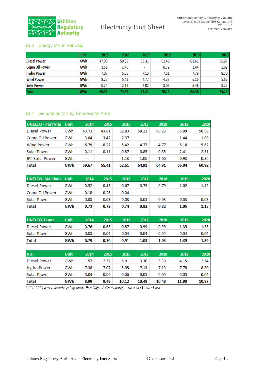

## <span id="page-11-0"></span>13.3 Energy Mix in Vanuatu

|                        | Unit | 2015  | 2016  | 2017                     | 2018  | 2019  | 2020  |
|------------------------|------|-------|-------|--------------------------|-------|-------|-------|
| <b>Diesel Power</b>    | GWh  | 47.06 | 59.38 | 63.31                    | 62.40 | 61.61 | 55.97 |
| <b>Copra Oil Power</b> | GWh  | 3.68  | 2.40  | $\overline{\phantom{a}}$ | 0.79  | 1.44  | 1.09  |
| <b>Hydro Power</b>     | GWh  | 7.07  | 5.05  | 7.13                     | 7.61  | 7.78  | 8.30  |
| <b>Wind Power</b>      | GWh  | 8.27  | 5.42  | 4.77                     | 4.37  | 6.16  | 5.62  |
| <b>Solar Power</b>     | GWh  | 0.24  | 2.13  | 2.02                     | 3.05  | 3.46  | 3.27  |
| <b>Total</b>           | GWh  | 66.31 | 74.39 | 77.24                    | 78.23 | 80.46 | 74.23 |

#### <span id="page-11-1"></span>13.4 Generation Mix by Concession Area

| <b>UNELCO - Port Vila</b> | Unit        | 2014  | 2015  | 2016  | 2017  | 2018  | 2019  | 2020  |
|---------------------------|-------------|-------|-------|-------|-------|-------|-------|-------|
| Diesel Power              | GWh         | 49.73 | 43.61 | 52.83 | 58.23 | 58.23 | 55.09 | 50.96 |
| Copra Oil Power           | GWh         | 3.04  | 3.42  | 2.37  | ۰     |       | 1.44  | 1.09  |
| Wind Power                | GWh         | 6.79  | 8.27  | 5.42  | 4.77  | 4.77  | 6.16  | 5.62  |
| Solar Power               | GWh         | 0.11  | 0.11  | 0.87  | 0.85  | 0.85  | 2.41  | 2.31  |
| <b>IPP Solar Power</b>    | GWh         | ۰     | ٠     | 1.13  | 1.06  | 1.06  | 0.93  | 0.86  |
| Total                     | GWh         | 59.67 | 55.41 | 62.61 | 64.91 | 64.91 | 66.04 | 60.82 |
|                           |             |       |       |       |       |       |       |       |
| <b>UNELCO-Malekula</b>    | <b>Unit</b> | 2014  | 2015  | 2016  | 2017  | 2018  | 2019  | 2020  |
| <b>Diesel Power</b>       | GWh         | 0.52  | 0.43  | 0.67  | 0.79  | 0.79  | 1.02  | 1.12  |
| Copra Oil Power           | GWh         | 0.18  | 0.26  | 0.04  |       |       |       |       |
| Solar Power               | GWh         | 0.03  | 0.03  | 0.03  | 0.03  | 0.03  | 0.03  | 0.03  |
| Total                     | GWh         | 0.73  | 0.72  | 0.74  | 0.82  | 0.82  | 1.05  | 1.15  |
|                           |             |       |       |       |       |       |       |       |
| <b>UNELCO-Tanna</b>       | <b>Unit</b> | 2014  | 2015  | 2016  | 2017  | 2018  | 2019  | 2020  |
| <b>Diesel Power</b>       | GWh         | 0.76  | 0.66  | 0.87  | 0.99  | 0.99  | 1.35  | 1.35  |
| Solar Power               | GWh         | 0.03  | 0.04  | 0.04  | 0.04  | 0.04  | 0.04  | 0.04  |
| Total                     | GWh         | 0.79  | 0.70  | 0.91  | 1.03  | 1.03  | 1.39  | 1.39  |
|                           |             |       |       |       |       |       |       |       |
| VUI                       | <b>Unit</b> | 2014  | 2015  | 2016  | 2017  | 2018  | 2019  | 2020  |
| <b>Diesel Power</b>       | GWh         | 1.57  | 2.37  | 5.01  | 3.30  | 3.30  | 4.15  | 2.54  |
| Hydro Power               | GWh         | 7.38  | 7.07  | 5.05  | 7.13  | 7.13  | 7.78  | 8.30  |
| Solar Power               | GWh         | 0.04  | 0.06  | 0.06  | 0.05  | 0.05  | 0.05  | 0.04  |
| <b>Total</b>              | GWh         | 8.99  | 9.49  | 10.12 | 10.48 | 10.48 | 11.98 | 10.87 |

*\*VUI 2020 data is inclusive of Luganville, Port Olry , Talise (Maewo), Ambae and Vanua Lava.*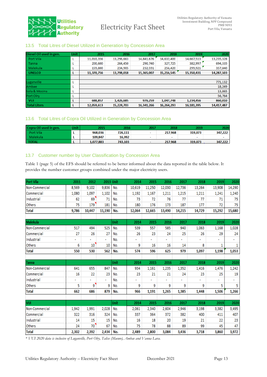

#### <span id="page-12-0"></span>13.5 Total Litres of Diesel Utilized in Generation by Concession Area

| Diesel Oil used in gen. | Unit | 2015       | 2016       | 2017       | 2018       | 2019       | 2020       |
|-------------------------|------|------------|------------|------------|------------|------------|------------|
| Port Vila               |      | 11,010,356 | 13,298,663 | 14,841,676 | 14,632,400 | 14,667,513 | 13,235,328 |
| Tanna                   | L    | 200,600    | 264,450    | 290,740    | 327,725    | 382,997    | 694,335    |
| Malekula                | ⊾    | 159,800    | 234,905    | 232,591    | 256,420    | 299,921    | 357,840    |
| <b>UNELCO</b>           | L    | 11,370,756 | 13,798,018 | 15,365,007 | 15,216,545 | 15,350,431 | 14,287,503 |
|                         |      |            |            |            |            |            |            |
| Luganville              | L    |            |            |            |            |            | 771,132    |
| Ambae                   | L    |            |            |            |            |            | 18,249     |
| Sola & Mosina           | L    |            |            |            |            |            | 13,865     |
| Port Olry               | L    |            |            |            |            |            | 56,764     |
| <b>VUI</b>              | L    | 688.857    | 1,426,685  | 976.259    | 1,047,748  | 1,234,456  | 860,010    |
| <b>Total Liters</b>     | L    | 12,059,613 | 15,224,703 | 16,341,266 | 16,264,293 | 16,181,395 | 14,417,487 |

#### <span id="page-12-1"></span>13.6 Total Litres of Copra Oil Utilized in Generation by Concession Area

| Copra Oil used in gen. | Jnit | 2015      | 2016    | 2017                     | 2018    | 2019    | 2020    |
|------------------------|------|-----------|---------|--------------------------|---------|---------|---------|
| Port Vila              |      | 968,036   | 726,111 | $\overline{\phantom{a}}$ | 217,968 | 319,873 | 347,222 |
| Malekula               |      | 109.847   | 16,992  | $\overline{\phantom{a}}$ | $\sim$  | $\sim$  |         |
| <b>TOTAL</b>           |      | 1,077,883 | 743.103 | $\overline{\phantom{a}}$ | 217.968 | 319.873 | 347,222 |

### <span id="page-12-2"></span>13.7 Customer number by User Classification by Concession Area

Table 1 (page 5) of the EFS should be referred to be better informed about the data reported in the table below. It provides the number customer groups combined under the major electricity users.

| <b>Port Vila</b> | 2011  | 2012   | 2013 Unit |      | 2014   | 2015   | 2016   | 2017   | 2018   | 2019   | 2020   |
|------------------|-------|--------|-----------|------|--------|--------|--------|--------|--------|--------|--------|
| Non-Commercial   | 8,569 | 9,102  | 9,836     | No.  | 10,619 | 11,250 | 12,030 | 12,736 | 13,264 | 13,908 | 14,290 |
| Commercial       | 1,080 | 1,097  | 1,102     | No.  | 1,192  | 1,167  | 1,211  | 1,215  | 1,211  | 1,241  | 1,240  |
| Industrial       | 62    | 69     | 71        | No.  | 73     | 72     | 76     | 77     | 77     | 71     | 75     |
| Others           | 75    | 179    | 181       | No.  | 180    | 176    | 173    | 187    | 177    | 72     | 75     |
| <b>Total</b>     | 9,786 | 10,447 | 11,190    | No.  | 12,064 | 12,665 | 13,490 | 14,215 | 14,729 | 15,292 | 15,680 |
|                  |       |        |           |      |        |        |        |        |        |        |        |
| Malekula         |       |        |           | Unit | 2014   | 2015   | 2016   | 2017   | 2018   | 2019   | 2020   |
| Non-Commercial   | 517   | 494    | 525       | No.  | 539    | 557    | 585    | 940    | 1,063  | 1,168  | 1,028  |
| Commercial       | 27    | 26     | 27        | No.  | 26     | 23     | 24     | 25     | 26     | 29     | 24     |
| Industrial       | ۰     | ٠      | ÷.        | No.  | ۰      | ÷.     | ٠      |        | ٠      | ٠      |        |
| Others           | 6     | 10     | 10        | No.  | 9      | 16     | 16     | 14     | 8      | 1      | 1      |
| <b>Total</b>     | 550   | 530    | 562       | No.  | 574    | 596    | 625    | 979    | 1,097  | 1,198  | 1,053  |
|                  |       |        |           |      |        |        |        |        |        |        |        |
| <b>Tanna</b>     |       |        |           | Unit | 2014   | 2015   | 2016   | 2017   | 2018   | 2019   | 2020   |
| Non-Commercial   | 641   | 655    | 847       | No.  | 934    | 1,161  | 1,235  | 1,352  | 1,416  | 1,476  | 1,242  |
| Commercial       | 16    | 22     | 23        | No.  | 23     | 21     | 21     | 24     | 23     | 25     | 19     |
| Industrial       |       | ۰      | ٠         | No.  | ۰      | ٠      | ۰      | ٠      | ÷.     |        |        |
| Others           | 5     | g      | 9         | No.  | 9      | 9      | 9      | 9      | 9      | 5      | 5      |
| <b>Total</b>     | 662   | 686    | 879       | No.  | 966    | 1,191  | 1,265  | 1,385  | 1,448  | 1,506  | 1,266  |
|                  |       |        |           |      |        |        |        |        |        |        |        |
| <b>VUI</b>       |       |        |           | Unit | 2014   | 2015   | 2016   | 2017   | 2018   | 2019   | 2020   |
| Non-Commercial   | 1,942 | 1,991  | 2,028     | No.  | 2,061  | 2,340  | 2,604  | 2,946  | 3,198  | 3,382  | 3,495  |
| Commercial       | 322   | 316    | 324       | No.  | 337    | 364    | 372    | 382    | 400    | 411    | 407    |
| Industrial       | 14    | 15     | 15        | No.  | 16     | 18     | 20     | 19     | 21     | 22     | 23     |
| Others           | 24    | 70     | 67        | No.  | 75     | 78     | 88     | 89     | 99     | 45     | 47     |
| <b>Total</b>     | 2,302 | 2,392  | 2,434     | No.  | 2,489  | 2,800  | 3,084  | 3,436  | 3,718  | 3,860  | 3,972  |

*\* VUI 2020 data is inclusive of Luganville, Port Olry, Talise (Maewo), Ambae and Vanua Lava.*